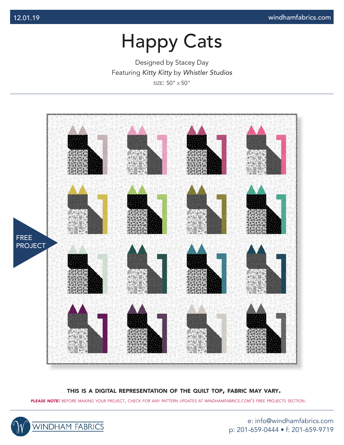Designed by Stacey Day Featuring *Kitty Kitty* by *Whistler Studios* size: 50" x 50"



#### this is <sup>a</sup> digital representation of the quilt top, fabric may vary.

*please note:* before making your project, check for any pattern updates at windhamfabrics.com's free projects section.



e: info@windhamfabrics.com p: 201-659-0444 • f: 201-659-9719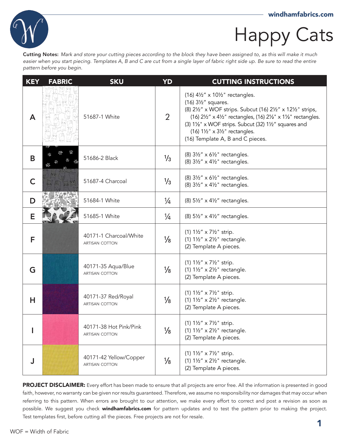

Cutting Notes: *Mark and store your cutting pieces according to the block they have been assigned to, as this will make it much easier when you start piecing. Templates A, B and C are cut from a single layer of fabric right side up. Be sure to read the entire pattern before you begin.*

| <b>KEY</b> | <b>FABRIC</b> | <b>SKU</b>                                  | <b>YD</b>      | <b>CUTTING INSTRUCTIONS</b>                                                                                                                                                                                                                                                                                        |
|------------|---------------|---------------------------------------------|----------------|--------------------------------------------------------------------------------------------------------------------------------------------------------------------------------------------------------------------------------------------------------------------------------------------------------------------|
| A          |               | 51687-1 White                               | $\overline{2}$ | $(16)$ 41/2" x 101/2" rectangles.<br>(16) 31/2" squares.<br>(8) 21/2" x WOF strips. Subcut (16) 21/2" x 121/2" strips,<br>(16) 21/2" x 41/2" rectangles, (16) 21/2" x 11/2" rectangles.<br>(3) 11/2" x WOF strips. Subcut (32) 11/2" squares and<br>(16) 1½" x 3½" rectangles.<br>(16) Template A, B and C pieces. |
| B          |               | 51686-2 Black                               | $\frac{1}{3}$  | (8) 31/2" x 61/2" rectangles.<br>(8) 31/2" x 41/2" rectangles.                                                                                                                                                                                                                                                     |
| C          |               | 51687-4 Charcoal                            | $\frac{1}{3}$  | $(8)$ 31/2" x 61/2" rectangles.<br>(8) 31/2" x 41/2" rectangles.                                                                                                                                                                                                                                                   |
| D          |               | 51684-1 White                               | $\frac{1}{4}$  | (8) 51/2" x 41/2" rectangles.                                                                                                                                                                                                                                                                                      |
| Е          |               | 51685-1 White                               | $\frac{1}{4}$  | $(8)$ 51/2" x 41/2" rectangles.                                                                                                                                                                                                                                                                                    |
| F          |               | 40171-1 Charcoal/White<br>ARTISAN COTTON    | $\frac{1}{8}$  | (1) 11/2" x 71/2" strip.<br>(1) $1\frac{1}{2}$ " x $2\frac{1}{2}$ " rectangle.<br>(2) Template A pieces.                                                                                                                                                                                                           |
| G          |               | 40171-35 Aqua/Blue<br>ARTISAN COTTON        | $\frac{1}{8}$  | (1) 11/2" x 71/2" strip.<br>(1) $1\frac{1}{2}$ " x $2\frac{1}{2}$ " rectangle.<br>(2) Template A pieces.                                                                                                                                                                                                           |
| н          |               | 40171-37 Red/Royal<br><b>ARTISAN COTTON</b> | $\frac{1}{8}$  | (1) 11/2" x 71/2" strip.<br>(1) $1\frac{1}{2}$ " x $2\frac{1}{2}$ " rectangle.<br>(2) Template A pieces.                                                                                                                                                                                                           |
|            |               | 40171-38 Hot Pink/Pink<br>ARTISAN COTTON    | $\frac{1}{8}$  | (1) 11/2" x 71/2" strip.<br>(1) $1\frac{1}{2}$ " x $2\frac{1}{2}$ " rectangle.<br>(2) Template A pieces.                                                                                                                                                                                                           |
|            |               | 40171-42 Yellow/Copper<br>ARTISAN COTTON    | $\frac{1}{8}$  | (1) 11/2" x 71/2" strip.<br>(1) $1\frac{1}{2}$ " x $2\frac{1}{2}$ " rectangle.<br>(2) Template A pieces.                                                                                                                                                                                                           |

PROJECT DISCLAIMER: Every effort has been made to ensure that all projects are error free. All the information is presented in good faith, however, no warranty can be given nor results guaranteed. Therefore, we assume no responsibility nor damages that may occur when referring to this pattern. When errors are brought to our attention, we make every effort to correct and post a revision as soon as possible. We suggest you check windhamfabrics.com for pattern updates and to test the pattern prior to making the project. Test templates first, before cutting all the pieces. Free projects are not for resale.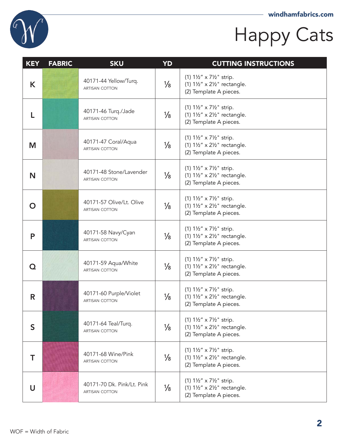

| <b>KEY</b> | <b>FABRIC</b> | <b>SKU</b>                                   | YD            | <b>CUTTING INSTRUCTIONS</b>                                                                               |
|------------|---------------|----------------------------------------------|---------------|-----------------------------------------------------------------------------------------------------------|
| K          |               | 40171-44 Yellow/Turq.<br>ARTISAN COTTON      | $\frac{1}{8}$ | (1) 11/2" x 71/2" strip.<br>(1) $1\frac{1}{2}$ " x $2\frac{1}{2}$ " rectangle.<br>(2) Template A pieces.  |
|            |               | 40171-46 Turq./Jade<br>ARTISAN COTTON        | $\frac{1}{8}$ | (1) 11/2" x 71/2" strip.<br>(1) $1\frac{1}{2}$ " x $2\frac{1}{2}$ " rectangle.<br>(2) Template A pieces.  |
| M          |               | 40171-47 Coral/Aqua<br>ARTISAN COTTON        | $\frac{1}{8}$ | (1) 11/2" x 71/2" strip.<br>(1) $1\frac{1}{2}$ " x $2\frac{1}{2}$ " rectangle.<br>(2) Template A pieces.  |
| N          |               | 40171-48 Stone/Lavender<br>ARTISAN COTTON    | $\frac{1}{8}$ | (1) 11/2" x 71/2" strip.<br>(1) $1\frac{1}{2}$ " x $2\frac{1}{2}$ " rectangle.<br>(2) Template A pieces.  |
| O          |               | 40171-57 Olive/Lt. Olive<br>ARTISAN COTTON   | $\frac{1}{8}$ | (1) 11/2" x 71/2" strip.<br>(1) $1\frac{1}{2}$ " x $2\frac{1}{2}$ " rectangle.<br>(2) Template A pieces.  |
| P          |               | 40171-58 Navy/Cyan<br>ARTISAN COTTON         | $\frac{1}{8}$ | (1) 11/2" x 71/2" strip.<br>(1) $1\frac{1}{2}$ " x $2\frac{1}{2}$ " rectangle.<br>(2) Template A pieces.  |
| Q          |               | 40171-59 Aqua/White<br>ARTISAN COTTON        | $\frac{1}{8}$ | (1) 11/2" x 71/2" strip.<br>$(1) 1\frac{1}{2}$ " x 2 $\frac{1}{2}$ " rectangle.<br>(2) Template A pieces. |
| R          |               | 40171-60 Purple/Violet<br>ARTISAN COTTON     | $\frac{1}{8}$ | (1) 11/2" x 71/2" strip.<br>(1) $1\frac{1}{2}$ " x $2\frac{1}{2}$ " rectangle.<br>(2) Template A pieces.  |
| S          |               | 40171-64 Teal/Turq.<br>ARTISAN COTTON        | $\frac{1}{8}$ | (1) 11/2" x 71/2" strip.<br>(1) $1\frac{1}{2}$ " x $2\frac{1}{2}$ " rectangle.<br>(2) Template A pieces.  |
| Т          |               | 40171-68 Wine/Pink<br>ARTISAN COTTON         | $\frac{1}{8}$ | (1) 11/2" x 71/2" strip.<br>(1) $1\frac{1}{2}$ " x $2\frac{1}{2}$ " rectangle.<br>(2) Template A pieces.  |
| U          |               | 40171-70 Dk. Pink/Lt. Pink<br>ARTISAN COTTON | $\frac{1}{8}$ | (1) 11/2" x 71/2" strip.<br>(1) $1\frac{1}{2}$ " x $2\frac{1}{2}$ " rectangle.<br>(2) Template A pieces.  |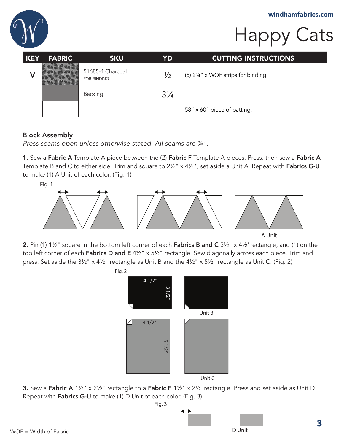

| <b>KEY</b> | <b>FABRIC</b> | <b>SKU</b>                             | YD             | <b>CUTTING INSTRUCTIONS</b>         |
|------------|---------------|----------------------------------------|----------------|-------------------------------------|
|            |               | 51685-4 Charcoal<br><b>FOR BINDING</b> | $\frac{1}{2}$  | (6) 21/4" x WOF strips for binding. |
|            |               | Backing                                | $3\frac{1}{4}$ |                                     |
|            |               |                                        |                | 58" x 60" piece of batting.         |

#### Block Assembly

*Press seams open unless otherwise stated. All seams are ¼".*

1. Sew a Fabric A Template A piece between the (2) Fabric F Template A pieces. Press, then sew a Fabric A Template B and C to either side. Trim and square to 2½" x 4½", set aside a Unit A. Repeat with Fabrics G-U to make (1) A Unit of each color. (Fig. 1)



A Unit

2. Pin (1) 1<sup>1</sup>/<sub>2</sub>" square in the bottom left corner of each **Fabrics B and C** 3<sup>1</sup>/<sub>2</sub>" x 4<sup>1</sup>/<sub>2</sub>" rectangle, and (1) on the top left corner of each Fabrics D and E 4½" x 5½" rectangle. Sew diagonally across each piece. Trim and press. Set aside the 3½" x 4½" rectangle as Unit B and the 4½" x 5½" rectangle as Unit C. (Fig. 2)



**3.** Sew a Fabric A 1<sup>1/2</sup> x 2<sup>1/2</sup> rectangle to a Fabric F 1<sup>1/2</sup> x 2<sup>1</sup>/2 rectangle. Press and set aside as Unit D. Repeat with Fabrics G-U to make (1) D Unit of each color. (Fig. 3)

Fig. 3

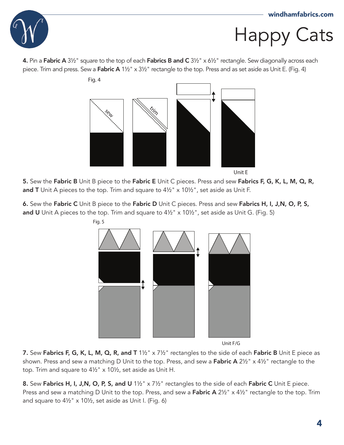

4. Pin a Fabric A  $3\frac{1}{2}$ " square to the top of each Fabrics B and C  $3\frac{1}{2}$ " x  $6\frac{1}{2}$ " rectangle. Sew diagonally across each piece. Trim and press. Sew a Fabric A 1½" x 3½" rectangle to the top. Press and as set aside as Unit E. (Fig. 4)



5. Sew the Fabric B Unit B piece to the Fabric E Unit C pieces. Press and sew Fabrics F, G, K, L, M, Q, R, and T Unit A pieces to the top. Trim and square to  $4\frac{1}{2}$  x 10 $\frac{1}{2}$ , set aside as Unit F.

6. Sew the Fabric C Unit B piece to the Fabric D Unit C pieces. Press and sew Fabrics H, I, J,N, O, P, S, and U Unit A pieces to the top. Trim and square to  $4\frac{1}{2}$  x  $10\frac{1}{2}$ , set aside as Unit G. (Fig. 5)



Unit F/G

7. Sew Fabrics F, G, K, L, M, Q, R, and T 1<sup>1/2"</sup> x 7<sup>1/2"</sup> rectangles to the side of each Fabric B Unit E piece as shown. Press and sew a matching D Unit to the top. Press, and sew a Fabric A 2½" x 4½" rectangle to the top. Trim and square to 4½" x 10½, set aside as Unit H.

8. Sew Fabrics H, I, J,N, O, P, S, and U 1<sup>1/2"</sup> x 7<sup>1/2"</sup> rectangles to the side of each Fabric C Unit E piece. Press and sew a matching D Unit to the top. Press, and sew a Fabric A 2½" x 4½" rectangle to the top. Trim and square to 4½" x 10½, set aside as Unit I. (Fig. 6)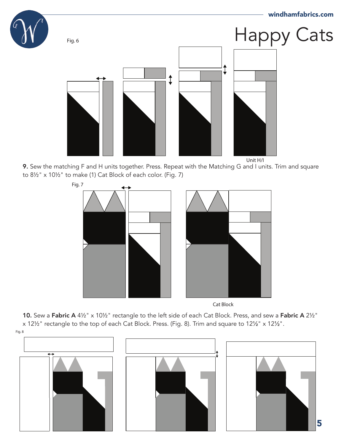

Unit H/I

9. Sew the matching F and H units together. Press. Repeat with the Matching G and I units. Trim and square to 8½" x 10½" to make (1) Cat Block of each color. (Fig. 7)



Cat Block

10. Sew a Fabric A 4½" x 10½" rectangle to the left side of each Cat Block. Press, and sew a Fabric A 2½" x 12½" rectangle to the top of each Cat Block. Press. (Fig. 8). Trim and square to 12½" x 12½".

Fig. 8





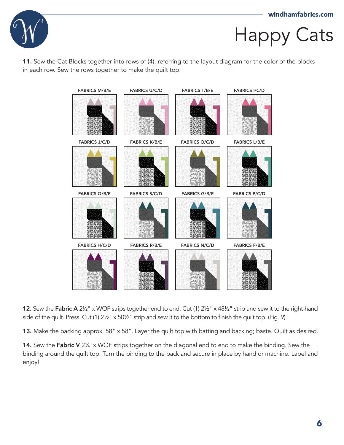

11. Sew the Cat Blocks together into rows of (4), referring to the layout diagram for the color of the blocks in each row. Sew the rows together to make the quilt top.



12. Sew the Fabric A 21/2" x WOF strips together end to end. Cut (1) 21/2" x 481/2" strip and sew it to the right-hand side of the quilt. Press. Cut (1) 2½" x 50½" strip and sew it to the bottom to finish the quilt top. (Fig. 9)

13. Make the backing approx. 58" x 58". Layer the quilt top with batting and backing; baste. Quilt as desired.

14. Sew the Fabric V 2¼"x WOF strips together on the diagonal end to end to make the binding. Sew the binding around the quilt top. Turn the binding to the back and secure in place by hand or machine. Label and enjoy!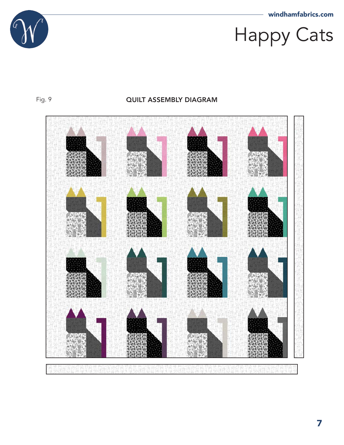

#### Fig. 9 **QUILT ASSEMBLY DIAGRAM**



보력 u H M.